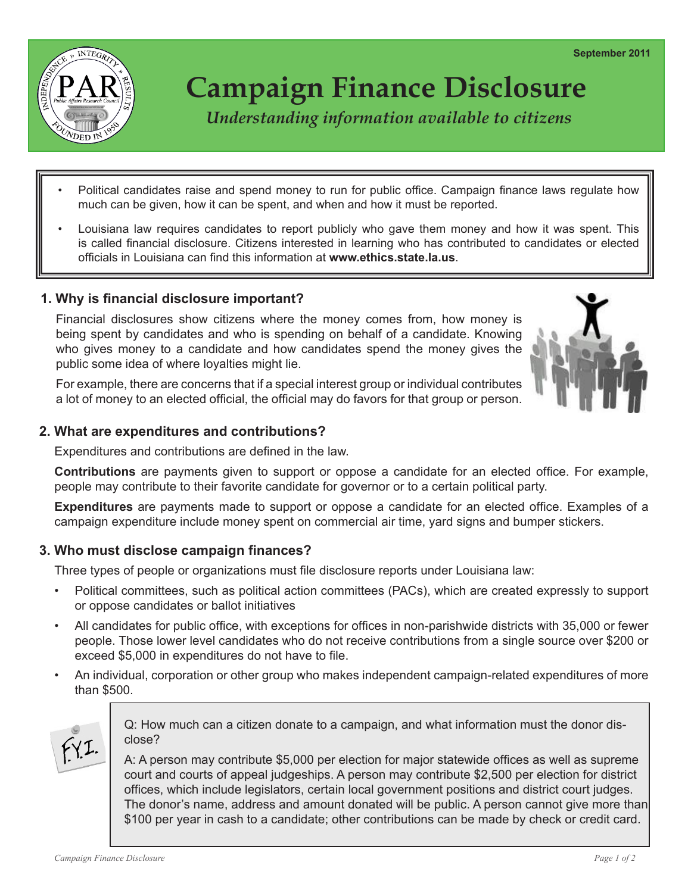

# **Campaign Finance Disclosure**

*Understanding information available to citizens*

- Political candidates raise and spend money to run for public office. Campaign finance laws regulate how much can be given, how it can be spent, and when and how it must be reported.
- Louisiana law requires candidates to report publicly who gave them money and how it was spent. This is called financial disclosure. Citizens interested in learning who has contributed to candidates or elected officials in Louisiana can find this information at **www.ethics.state.la.us**.

## **1. Why is financial disclosure important?**

Financial disclosures show citizens where the money comes from, how money is being spent by candidates and who is spending on behalf of a candidate. Knowing who gives money to a candidate and how candidates spend the money gives the public some idea of where loyalties might lie.

For example, there are concerns that if a special interest group or individual contributes a lot of money to an elected official, the official may do favors for that group or person.

## **2. What are expenditures and contributions?**

Expenditures and contributions are defined in the law.

**Contributions** are payments given to support or oppose a candidate for an elected office. For example, people may contribute to their favorite candidate for governor or to a certain political party.

**Expenditures** are payments made to support or oppose a candidate for an elected office. Examples of a campaign expenditure include money spent on commercial air time, yard signs and bumper stickers.

## **3. Who must disclose campaign finances?**

Three types of people or organizations must file disclosure reports under Louisiana law:

- Political committees, such as political action committees (PACs), which are created expressly to support or oppose candidates or ballot initiatives
- All candidates for public office, with exceptions for offices in non-parishwide districts with 35,000 or fewer people. Those lower level candidates who do not receive contributions from a single source over \$200 or exceed \$5,000 in expenditures do not have to file.
- An individual, corporation or other group who makes independent campaign-related expenditures of more than \$500.



Q: How much can a citizen donate to a campaign, and what information must the donor disclose?

A: A person may contribute \$5,000 per election for major statewide offices as well as supreme court and courts of appeal judgeships. A person may contribute \$2,500 per election for district offices, which include legislators, certain local government positions and district court judges. The donor's name, address and amount donated will be public. A person cannot give more than \$100 per year in cash to a candidate; other contributions can be made by check or credit card.